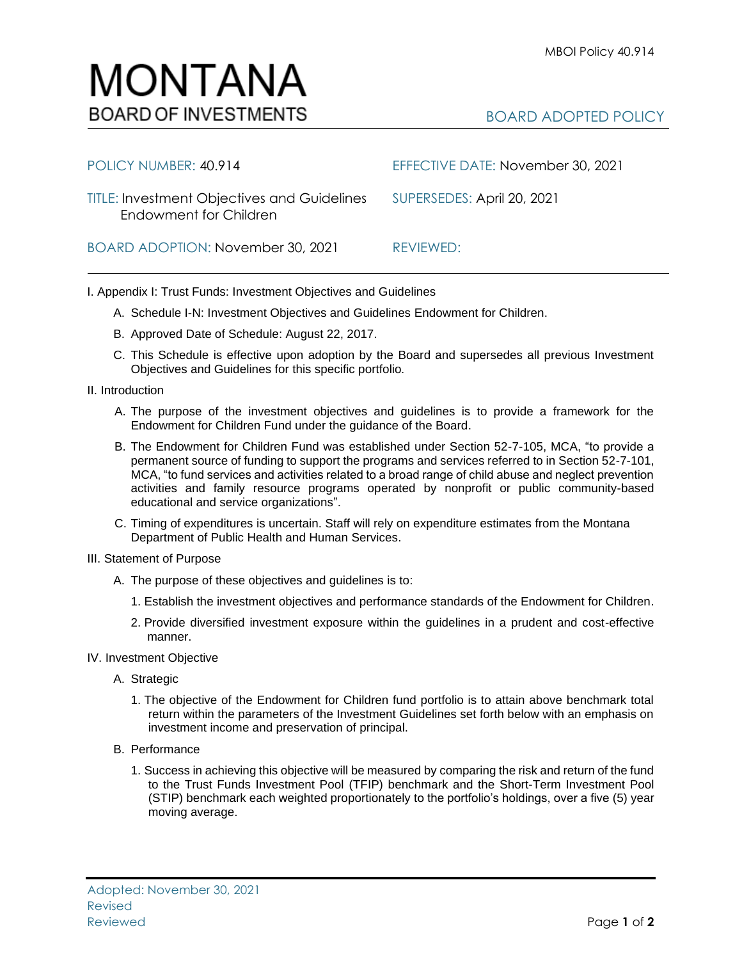

| POLICY NUMBER: 40.914                                                        | EFFECTIVE DATE: November 30, 2021 |
|------------------------------------------------------------------------------|-----------------------------------|
| <b>TITLE: Investment Objectives and Guidelines</b><br>Endowment for Children | SUPERSEDES: April 20, 2021        |
| BOARD ADOPTION: November 30, 2021                                            | REVIEWED:                         |

I. Appendix I: Trust Funds: Investment Objectives and Guidelines

- A. Schedule I-N: Investment Objectives and Guidelines Endowment for Children.
- B. Approved Date of Schedule: August 22, 2017.
- C. This Schedule is effective upon adoption by the Board and supersedes all previous Investment Objectives and Guidelines for this specific portfolio*.*
- II. Introduction
	- A. The purpose of the investment objectives and guidelines is to provide a framework for the Endowment for Children Fund under the guidance of the Board.
	- B. The Endowment for Children Fund was established under Section 52-7-105, MCA, "to provide a permanent source of funding to support the programs and services referred to in Section 52-7-101, MCA, "to fund services and activities related to a broad range of child abuse and neglect prevention activities and family resource programs operated by nonprofit or public community-based educational and service organizations".
	- C. Timing of expenditures is uncertain. Staff will rely on expenditure estimates from the Montana Department of Public Health and Human Services.
- III. Statement of Purpose
	- A. The purpose of these objectives and guidelines is to:
		- 1. Establish the investment objectives and performance standards of the Endowment for Children.
		- 2. Provide diversified investment exposure within the guidelines in a prudent and cost-effective manner.
- IV. Investment Objective
	- A. Strategic
		- 1. The objective of the Endowment for Children fund portfolio is to attain above benchmark total return within the parameters of the Investment Guidelines set forth below with an emphasis on investment income and preservation of principal.
	- B. Performance
		- 1. Success in achieving this objective will be measured by comparing the risk and return of the fund to the Trust Funds Investment Pool (TFIP) benchmark and the Short-Term Investment Pool (STIP) benchmark each weighted proportionately to the portfolio's holdings, over a five (5) year moving average.